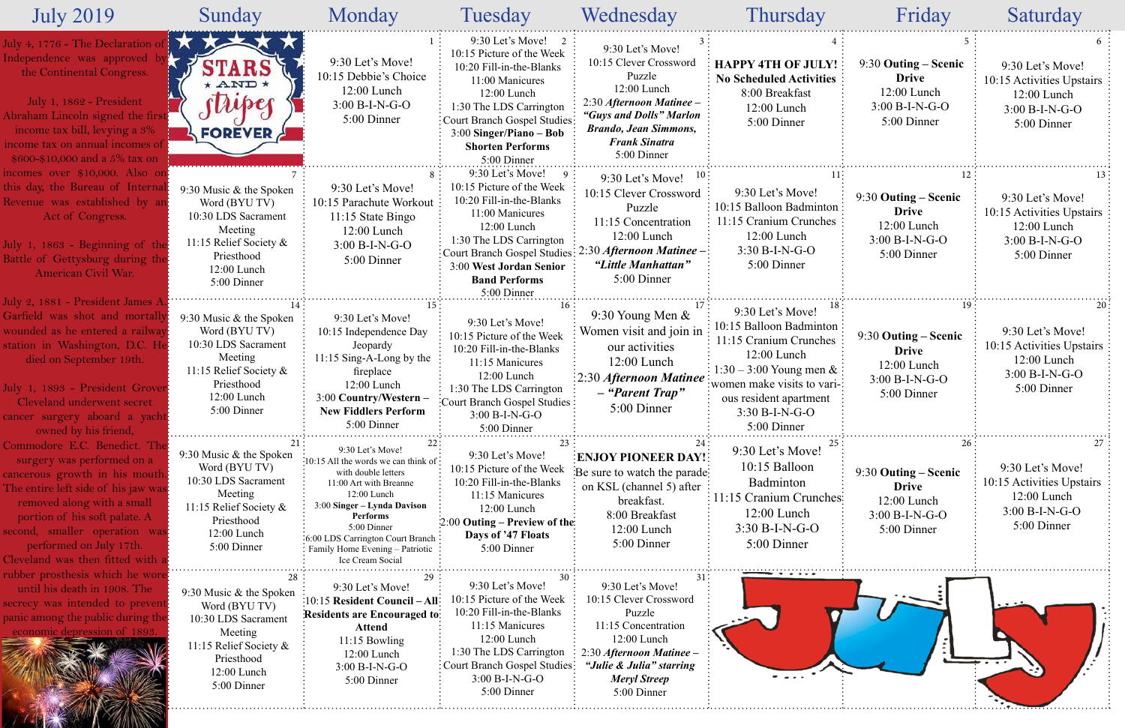| <b>July 2019</b>                                                                                                                                                                                                                                                                                    | Sunday                                                                                                                                           | Monday                                                                                                                                                                                                                                                                          | Tuesday                                                                                                                                                                                                                                           | Wednesday                                                                                                                                                                                         | Thursday                                                                                                                                                                                                           | Friday                                                                                   | Saturday                                                                                          |
|-----------------------------------------------------------------------------------------------------------------------------------------------------------------------------------------------------------------------------------------------------------------------------------------------------|--------------------------------------------------------------------------------------------------------------------------------------------------|---------------------------------------------------------------------------------------------------------------------------------------------------------------------------------------------------------------------------------------------------------------------------------|---------------------------------------------------------------------------------------------------------------------------------------------------------------------------------------------------------------------------------------------------|---------------------------------------------------------------------------------------------------------------------------------------------------------------------------------------------------|--------------------------------------------------------------------------------------------------------------------------------------------------------------------------------------------------------------------|------------------------------------------------------------------------------------------|---------------------------------------------------------------------------------------------------|
| uly 4, 1776 - The Declaration<br>Independence was approved<br>the Continental Congress.<br>July 1, 1862 - President<br>Abraham Lincoln signed the first<br>income tax bill, levying a 3%<br>ncome tax on annual incomes of<br>\$600-\$10,000 and a $5\%$ tax on                                     | <b>TARS</b><br>* AND *<br>super<br>FOREVER $\frac{1}{2}$                                                                                         | 9:30 Let's Move!<br>10:15 Debbie's Choice<br>12:00 Lunch<br>$3:00 B-I-N-G-O$<br>5:00 Dinner                                                                                                                                                                                     | $9:30$ Let's Move! 2<br>10:15 Picture of the Week<br>10:20 Fill-in-the-Blanks<br>11:00 Manicures<br>12:00 Lunch<br>1:30 The LDS Carrington<br>Court Branch Gospel Studies:<br>$3:00$ Singer/Piano – Bob<br><b>Shorten Performs</b><br>5:00 Dinner | 9:30 Let's Move!<br>10:15 Clever Crossword<br>Puzzle<br>12:00 Lunch<br>2:30 Afternoon Matinee -<br>"Guys and Dolls" Marlon<br><b>Brando, Jean Simmons,</b><br><b>Frank Sinatra</b><br>5:00 Dinner | <b>HAPPY 4TH OF JULY!</b><br><b>No Scheduled Activities</b><br>8:00 Breakfast<br>12:00 Lunch<br>5:00 Dinner                                                                                                        | 9:30 Outing – Scenic<br><b>Drive</b><br>12:00 Lunch<br>$3:00 B-I-N-G-O$<br>5:00 Dinner   | 9:30 Let's Move!<br>10:15 Activities Upstairs<br>12:00 Lunch<br>$3:00 B-I-N-G-O$<br>5:00 Dinner   |
| incomes over \$10,000. Also on<br>this day, the Bureau of Internal<br>Revenue was established by an<br>Act of Congress.<br>July 1, 1863 - Beginning of the<br>Battle of Gettysburg during the<br>American Civil War.                                                                                | 9:30 Music & the Spoken<br>Word (BYU TV)<br>10:30 LDS Sacrament<br>Meeting<br>11:15 Relief Society &<br>Priesthood<br>12:00 Lunch<br>5:00 Dinner | 9:30 Let's Move!<br>10:15 Parachute Workout<br>11:15 State Bingo<br>$12:00$ Lunch<br>3:00 B-I-N-G-O<br>5:00 Dinner                                                                                                                                                              | 9:30 Let's Move!<br>10:15 Picture of the Week<br>10:20 Fill-in-the-Blanks<br>11:00 Manicures<br>12:00 Lunch<br>1:30 The LDS Carrington<br>Court Branch Gospel Studies:<br>3:00 West Jordan Senior<br><b>Band Performs</b><br>5:00 Dinner          | 9:30 Let's Move!<br>10:15 Clever Crossword<br>Puzzle<br>11:15 Concentration<br>$12:00$ Lunch<br>$2:30$ Afternoon Matinee –<br>"Little Manhattan"<br>5:00 Dinner                                   | 9:30 Let's Move!<br>10:15 Balloon Badminton:<br>11:15 Cranium Crunches<br>12:00 Lunch<br>$3:30 B-I-N-G-O$<br>5:00 Dinner                                                                                           | 9:30 Outing – Scenic<br><b>Drive</b><br>12:00 Lunch<br>$3:00 B-I-N-G-O$<br>5:00 Dinner   | 9:30 Let's Move!<br>10:15 Activities Upstairs<br>12:00 Lunch<br>$3:00 B-I-N-G-O$<br>5:00 Dinner   |
| July 2, 1881 - President James A<br>Garfield was shot and mortally<br>wounded as he entered a railway<br>station in Washington, D.C. He<br>died on September 19th.<br>July 1, 1893 - President Grover<br>Cleveland underwent secret<br>cancer surgery aboard a yacht<br>owned by his friend,        | 9:30 Music & the Spoken<br>Word (BYU TV)<br>10:30 LDS Sacrament<br>Meeting<br>11:15 Relief Society &<br>Priesthood<br>12:00 Lunch<br>5:00 Dinner | 9:30 Let's Move!<br>10:15 Independence Day<br>Jeopardy<br>$11:15$ Sing-A-Long by the<br>fireplace<br>12:00 Lunch<br>3:00 Country/Western -<br><b>New Fiddlers Perform</b><br>5:00 Dinner                                                                                        | 9:30 Let's Move!<br>10:15 Picture of the Week<br>10:20 Fill-in-the-Blanks<br>11:15 Manicures<br>12:00 Lunch<br>1:30 The LDS Carrington<br>Court Branch Gospel Studies:<br>$3:00 B-I-N-G-O$<br>5:00 Dinner                                         | 9:30 Young Men &<br>Women visit and join in<br>our activities<br>$12:00$ Lunch<br><b>Election State</b> 2:30 Afternoon Matinee<br>- "Parent Trap"<br>5:00 Dinner                                  | 9:30 Let's Move!<br>10:15 Balloon Badminton:<br>11:15 Cranium Crunches<br>$12:00$ Lunch<br>1:30 – 3:00 Young men $&$<br>: women make visits to vari-:<br>ous resident apartment<br>$3:30 B-I-N-G-O$<br>5:00 Dinner | 9:30 Outing – Scenic<br><b>Drive</b><br>$12:00$ Lunch<br>$3:00 B-I-N-G-O$<br>5:00 Dinner | 9:30 Let's Move!<br>10:15 Activities Upstairs<br>12:00 Lunch<br>$3:00 B-I-N-G-O$<br>5:00 Dinner   |
| Commodore E.C. Benedict. The<br>surgery was performed on a<br>cancerous growth in his mouth.<br>The entire left side of his jaw was<br>removed along with a small<br>portion of his soft palate. A<br>second, smaller operation was!<br>performed on July 17th.<br>Cleveland was then fitted with a | 9:30 Music & the Spoken<br>Word (BYU TV)<br>10:30 LDS Sacrament<br>Meeting<br>11:15 Relief Society &<br>Priesthood<br>12:00 Lunch<br>5:00 Dinner | 9:30 Let's Move!<br>:10:15 All the words we can think of:<br>with double letters<br>11:00 Art with Breanne<br>12:00 Lunch<br>3:00 Singer - Lynda Davison<br>Performs<br>5:00 Dinner<br>:6:00 LDS Carrington Court Branch<br>Family Home Evening - Patriotic<br>Ice Cream Social | 9:30 Let's Move!<br>10:15 Picture of the Week<br>10:20 Fill-in-the-Blanks<br>11:15 Manicures<br>12:00 Lunch<br>$2:00$ Outing – Preview of the<br>Days of '47 Floats<br>5:00 Dinner                                                                | <b>ENJOY PIONEER DAY!</b><br>Be sure to watch the parade:<br>on KSL (channel 5) after<br>breakfast.<br>8:00 Breakfast<br>12:00 Lunch<br>5:00 Dinner                                               | 9:30 Let's Move!<br>10:15 Balloon<br>Badminton<br>11:15 Cranium Crunches:<br>$12:00$ Lunch<br>$3:30 B-I-N-G-O$<br>5:00 Dinner<br>.                                                                                 | 9:30 Outing – Scenic<br><b>Drive</b><br>12:00 Lunch<br>$3:00 B-I-N-G-O$<br>5:00 Dinner   | 9:30 Let's Move!<br>10:15 Activities Upstairs<br>$12:00$ Lunch<br>$3:00 B-I-N-G-O$<br>5:00 Dinner |
| rubber prosthesis which he wore<br>until his death in 1908. The<br>secrecy was intended to prevent<br>panic among the public during the<br>economic depression of 1893                                                                                                                              | 9:30 Music & the Spoken<br>Word (BYU TV)<br>10:30 LDS Sacrament<br>Meeting<br>11:15 Relief Society &<br>Priesthood<br>12:00 Lunch<br>5:00 Dinner | 9:30 Let's Move!<br>:10:15 Resident Council - All:<br>Residents are Encouraged to:<br><b>Attend</b><br>$11:15$ Bowling<br>12:00 Lunch<br>$3:00 B-I-N-G-O$<br>5:00 Dinner                                                                                                        | 9:30 Let's Move!<br>0:15 Picture of the Week<br>10:20 Fill-in-the-Blanks<br>11:15 Manicures<br>$12:00$ Lunch<br>1:30 The LDS Carrington<br>Court Branch Gospel Studies:<br>$3:00 B-I-N-G-O$<br>5:00 Dinner                                        | 9:30 Let's Move!<br>10:15 Clever Crossword<br>Puzzle<br>11:15 Concentration<br>12:00 Lunch<br>2:30 Afternoon Matinee -<br>"Julie & Julia" starring<br><b>Meryl Streep</b><br>5:00 Dinner          |                                                                                                                                                                                                                    |                                                                                          |                                                                                                   |

E